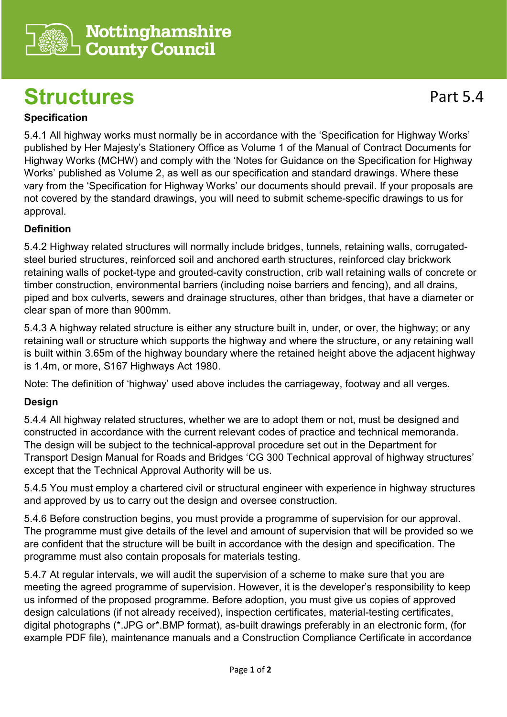

## **Structures**

5.4.1 All highway works must normally be in accordance with the 'Specification for Highway Works' published by Her Majesty's Stationery Office as Volume 1 of the Manual of Contract Documents for Highway Works (MCHW) and comply with the 'Notes for Guidance on the Specification for Highway Works' published as Volume 2, as well as our specification and standard drawings. Where these vary from the 'Specification for Highway Works' our documents should prevail. If your proposals are not covered by the standard drawings, you will need to submit scheme-specific drawings to us for

## **Definition**

approval.

5.4.2 Highway related structures will normally include bridges, tunnels, retaining walls, corrugatedsteel buried structures, reinforced soil and anchored earth structures, reinforced clay brickwork retaining walls of pocket-type and grouted-cavity construction, crib wall retaining walls of concrete or timber construction, environmental barriers (including noise barriers and fencing), and all drains, piped and box culverts, sewers and drainage structures, other than bridges, that have a diameter or clear span of more than 900mm.

5.4.3 A highway related structure is either any structure built in, under, or over, the highway; or any retaining wall or structure which supports the highway and where the structure, or any retaining wall is built within 3.65m of the highway boundary where the retained height above the adjacent highway is 1.4m, or more, S167 Highways Act 1980.

Note: The definition of 'highway' used above includes the carriageway, footway and all verges.

## **Design**

5.4.4 All highway related structures, whether we are to adopt them or not, must be designed and constructed in accordance with the current relevant codes of practice and technical memoranda. The design will be subject to the technical-approval procedure set out in the Department for Transport Design Manual for Roads and Bridges 'CG 300 Technical approval of highway structures' except that the Technical Approval Authority will be us.

5.4.5 You must employ a chartered civil or structural engineer with experience in highway structures and approved by us to carry out the design and oversee construction.

5.4.6 Before construction begins, you must provide a programme of supervision for our approval. The programme must give details of the level and amount of supervision that will be provided so we are confident that the structure will be built in accordance with the design and specification. The programme must also contain proposals for materials testing.

5.4.7 At regular intervals, we will audit the supervision of a scheme to make sure that you are meeting the agreed programme of supervision. However, it is the developer's responsibility to keep us informed of the proposed programme. Before adoption, you must give us copies of approved design calculations (if not already received), inspection certificates, material-testing certificates, digital photographs (\*.JPG or\*.BMP format), as-built drawings preferably in an electronic form, (for example PDF file), maintenance manuals and a Construction Compliance Certificate in accordance